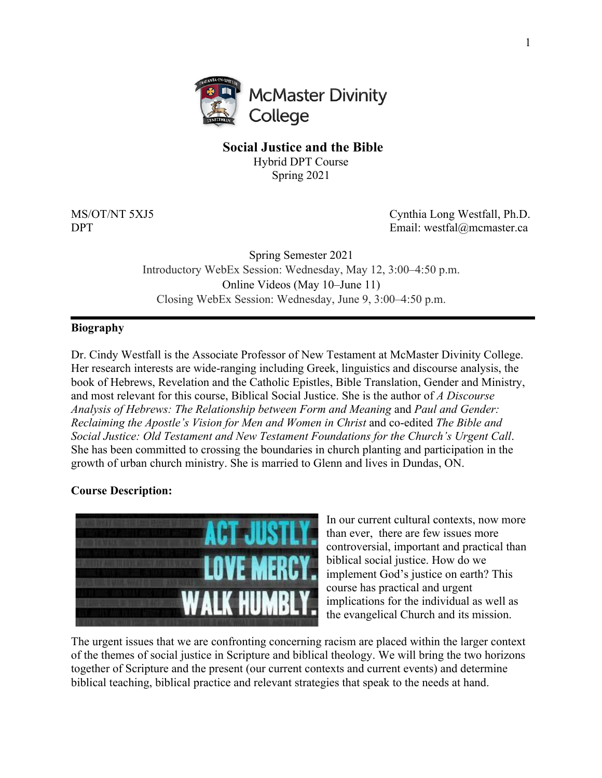

# **Social Justice and the Bible**

Hybrid DPT Course Spring 2021

MS/OT/NT 5XJ5 Cynthia Long Westfall, Ph.D. DPT Email: westfal@mcmaster.ca

> Spring Semester 2021 Introductory WebEx Session: Wednesday, May 12, 3:00–4:50 p.m. Online Videos (May 10–June 11) Closing WebEx Session: Wednesday, June 9, 3:00–4:50 p.m.

## **Biography**

Dr. Cindy Westfall is the Associate Professor of New Testament at McMaster Divinity College. Her research interests are wide-ranging including Greek, linguistics and discourse analysis, the book of Hebrews, Revelation and the Catholic Epistles, Bible Translation, Gender and Ministry, and most relevant for this course, Biblical Social Justice. She is the author of *A Discourse Analysis of Hebrews: The Relationship between Form and Meaning* and *Paul and Gender: Reclaiming the Apostle's Vision for Men and Women in Christ* and co-edited *The Bible and Social Justice: Old Testament and New Testament Foundations for the Church's Urgent Call*. She has been committed to crossing the boundaries in church planting and participation in the growth of urban church ministry. She is married to Glenn and lives in Dundas, ON.

# **Course Description:**



In our current cultural contexts, now more than ever, there are few issues more controversial, important and practical than biblical social justice. How do we implement God's justice on earth? This course has practical and urgent implications for the individual as well as the evangelical Church and its mission.

The urgent issues that we are confronting concerning racism are placed within the larger context of the themes of social justice in Scripture and biblical theology. We will bring the two horizons together of Scripture and the present (our current contexts and current events) and determine biblical teaching, biblical practice and relevant strategies that speak to the needs at hand.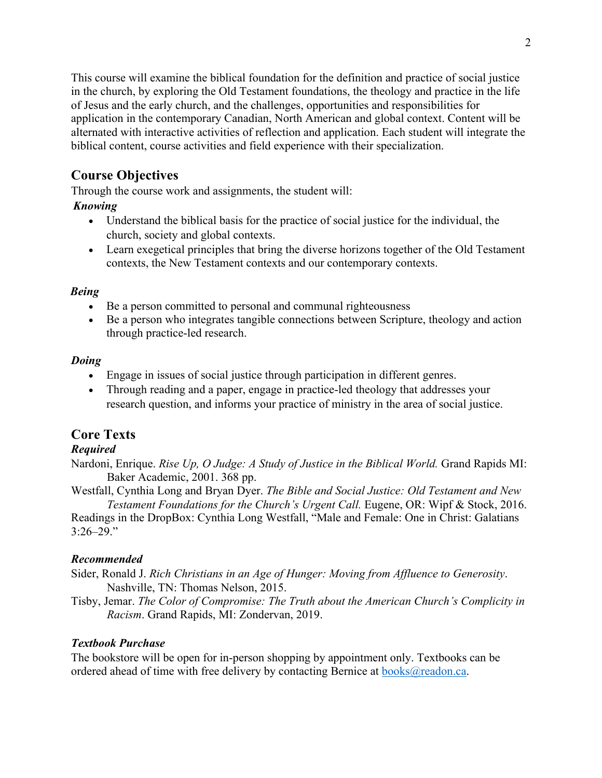This course will examine the biblical foundation for the definition and practice of social justice in the church, by exploring the Old Testament foundations, the theology and practice in the life of Jesus and the early church, and the challenges, opportunities and responsibilities for application in the contemporary Canadian, North American and global context. Content will be alternated with interactive activities of reflection and application. Each student will integrate the biblical content, course activities and field experience with their specialization.

# **Course Objectives**

Through the course work and assignments, the student will:

# *Knowing*

- Understand the biblical basis for the practice of social justice for the individual, the church, society and global contexts.
- Learn exegetical principles that bring the diverse horizons together of the Old Testament contexts, the New Testament contexts and our contemporary contexts.

# *Being*

- Be a person committed to personal and communal righteousness
- Be a person who integrates tangible connections between Scripture, theology and action through practice-led research.

# *Doing*

- Engage in issues of social justice through participation in different genres.
- Through reading and a paper, engage in practice-led theology that addresses your research question, and informs your practice of ministry in the area of social justice.

# **Core Texts**

# *Required*

Nardoni, Enrique. *Rise Up, O Judge: A Study of Justice in the Biblical World.* Grand Rapids MI: Baker Academic, 2001. 368 pp.

Westfall, Cynthia Long and Bryan Dyer. *The Bible and Social Justice: Old Testament and New Testament Foundations for the Church's Urgent Call.* Eugene, OR: Wipf & Stock, 2016.

Readings in the DropBox: Cynthia Long Westfall, "Male and Female: One in Christ: Galatians  $3:26 - 29."$ 

# *Recommended*

- Sider, Ronald J. *Rich Christians in an Age of Hunger: Moving from Affluence to Generosity*. Nashville, TN: Thomas Nelson, 2015.
- Tisby, Jemar. *The Color of Compromise: The Truth about the American Church's Complicity in Racism*. Grand Rapids, MI: Zondervan, 2019.

# *Textbook Purchase*

The bookstore will be open for in-person shopping by appointment only. Textbooks can be ordered ahead of time with free delivery by contacting Bernice at  $books@readon.ca.$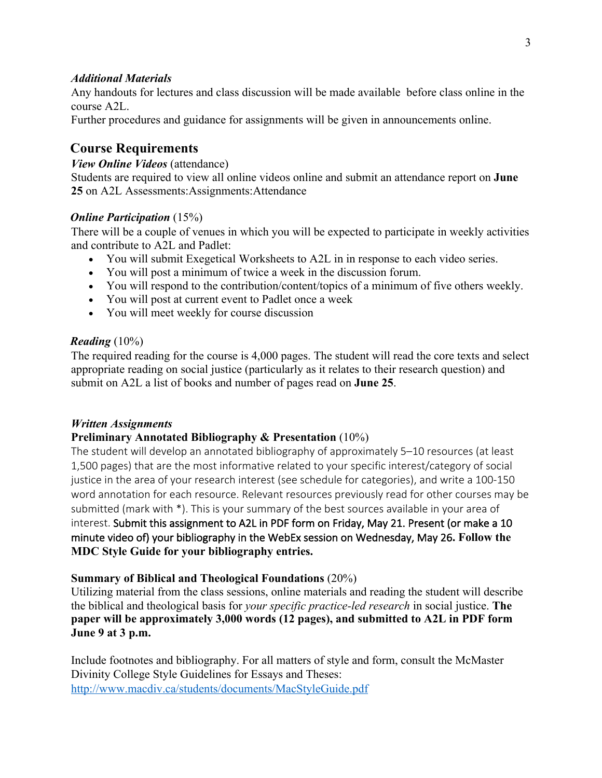## *Additional Materials*

Any handouts for lectures and class discussion will be made available before class online in the course A2L.

Further procedures and guidance for assignments will be given in announcements online.

# **Course Requirements**

## *View Online Videos* (attendance)

Students are required to view all online videos online and submit an attendance report on **June 25** on A2L Assessments:Assignments:Attendance

## *Online Participation* (15%)

There will be a couple of venues in which you will be expected to participate in weekly activities and contribute to A2L and Padlet:

- You will submit Exegetical Worksheets to A2L in in response to each video series.
- You will post a minimum of twice a week in the discussion forum.
- You will respond to the contribution/content/topics of a minimum of five others weekly.
- You will post at current event to Padlet once a week
- You will meet weekly for course discussion

## *Reading* (10%)

The required reading for the course is 4,000 pages. The student will read the core texts and select appropriate reading on social justice (particularly as it relates to their research question) and submit on A2L a list of books and number of pages read on **June 25**.

#### *Written Assignments*

# **Preliminary Annotated Bibliography & Presentation** (10%)

The student will develop an annotated bibliography of approximately 5–10 resources (at least 1,500 pages) that are the most informative related to your specific interest/category of social justice in the area of your research interest (see schedule for categories), and write a 100-150 word annotation for each resource. Relevant resources previously read for other courses may be submitted (mark with \*). This is your summary of the best sources available in your area of interest. Submit this assignment to A2L in PDF form on Friday, May 21. Present (or make a 10 minute video of) your bibliography in the WebEx session on Wednesday, May 26**. Follow the MDC Style Guide for your bibliography entries.**

# **Summary of Biblical and Theological Foundations** (20%)

Utilizing material from the class sessions, online materials and reading the student will describe the biblical and theological basis for *your specific practice-led research* in social justice. **The paper will be approximately 3,000 words (12 pages), and submitted to A2L in PDF form June 9 at 3 p.m.**

Include footnotes and bibliography. For all matters of style and form, consult the McMaster Divinity College Style Guidelines for Essays and Theses: http://www.macdiv.ca/students/documents/MacStyleGuide.pdf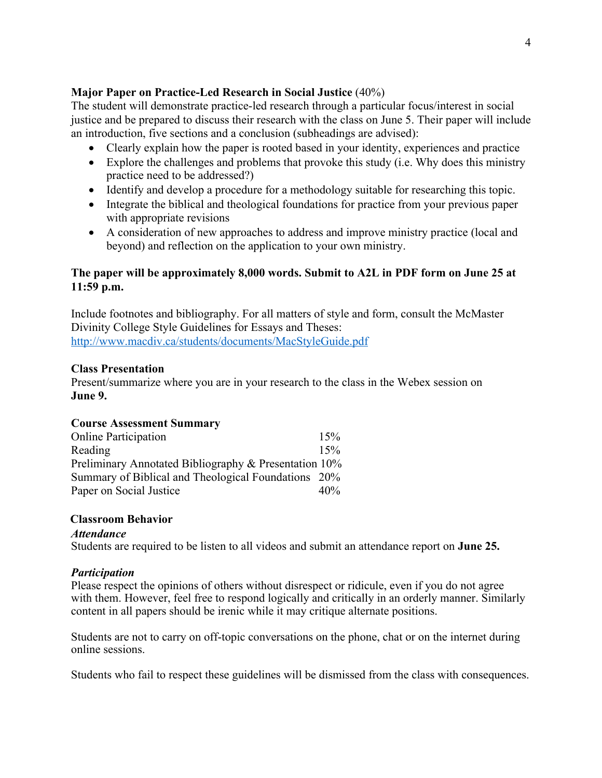## **Major Paper on Practice-Led Research in Social Justice** (40%)

The student will demonstrate practice-led research through a particular focus/interest in social justice and be prepared to discuss their research with the class on June 5. Their paper will include an introduction, five sections and a conclusion (subheadings are advised):

- Clearly explain how the paper is rooted based in your identity, experiences and practice
- Explore the challenges and problems that provoke this study (i.e. Why does this ministry practice need to be addressed?)
- Identify and develop a procedure for a methodology suitable for researching this topic.
- Integrate the biblical and theological foundations for practice from your previous paper with appropriate revisions
- A consideration of new approaches to address and improve ministry practice (local and beyond) and reflection on the application to your own ministry.

# **The paper will be approximately 8,000 words. Submit to A2L in PDF form on June 25 at 11:59 p.m.**

Include footnotes and bibliography. For all matters of style and form, consult the McMaster Divinity College Style Guidelines for Essays and Theses: http://www.macdiv.ca/students/documents/MacStyleGuide.pdf

## **Class Presentation**

Present/summarize where you are in your research to the class in the Webex session on **June 9.**

| <b>Course Assessment Summary</b>                      |     |
|-------------------------------------------------------|-----|
| <b>Online Participation</b>                           | 15% |
| Reading                                               | 15% |
| Preliminary Annotated Bibliography & Presentation 10% |     |
| Summary of Biblical and Theological Foundations 20%   |     |
| Paper on Social Justice                               | 40% |

#### **Classroom Behavior**

#### *Attendance*

Students are required to be listen to all videos and submit an attendance report on **June 25.**

#### *Participation*

Please respect the opinions of others without disrespect or ridicule, even if you do not agree with them. However, feel free to respond logically and critically in an orderly manner. Similarly content in all papers should be irenic while it may critique alternate positions.

Students are not to carry on off-topic conversations on the phone, chat or on the internet during online sessions.

Students who fail to respect these guidelines will be dismissed from the class with consequences.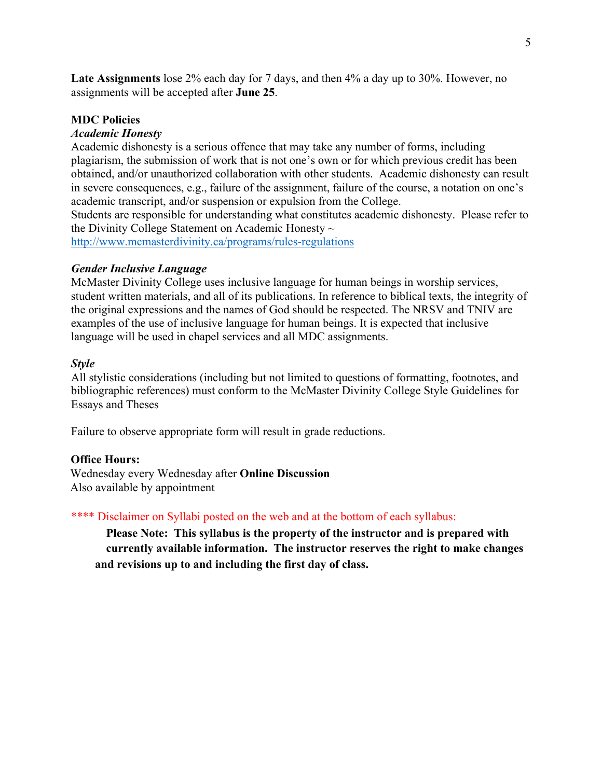**Late Assignments** lose 2% each day for 7 days, and then 4% a day up to 30%. However, no assignments will be accepted after **June 25**.

#### **MDC Policies**

#### *Academic Honesty*

Academic dishonesty is a serious offence that may take any number of forms, including plagiarism, the submission of work that is not one's own or for which previous credit has been obtained, and/or unauthorized collaboration with other students. Academic dishonesty can result in severe consequences, e.g., failure of the assignment, failure of the course, a notation on one's academic transcript, and/or suspension or expulsion from the College.

Students are responsible for understanding what constitutes academic dishonesty. Please refer to the Divinity College Statement on Academic Honesty  $\sim$ 

http://www.mcmasterdivinity.ca/programs/rules-regulations

#### *Gender Inclusive Language*

McMaster Divinity College uses inclusive language for human beings in worship services, student written materials, and all of its publications. In reference to biblical texts, the integrity of the original expressions and the names of God should be respected. The NRSV and TNIV are examples of the use of inclusive language for human beings. It is expected that inclusive language will be used in chapel services and all MDC assignments.

#### *Style*

All stylistic considerations (including but not limited to questions of formatting, footnotes, and bibliographic references) must conform to the McMaster Divinity College Style Guidelines for Essays and Theses

Failure to observe appropriate form will result in grade reductions.

#### **Office Hours:**

Wednesday every Wednesday after **Online Discussion** Also available by appointment

\*\*\*\* Disclaimer on Syllabi posted on the web and at the bottom of each syllabus:

**Please Note: This syllabus is the property of the instructor and is prepared with currently available information. The instructor reserves the right to make changes and revisions up to and including the first day of class.**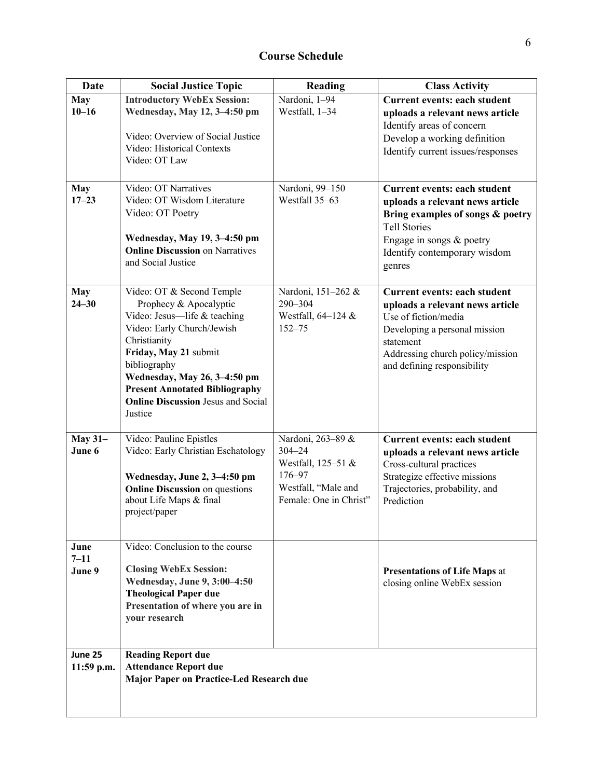| <b>Date</b>             | <b>Social Justice Topic</b>                                           | Reading                                       | <b>Class Activity</b>                                           |
|-------------------------|-----------------------------------------------------------------------|-----------------------------------------------|-----------------------------------------------------------------|
| <b>May</b><br>$10 - 16$ | <b>Introductory WebEx Session:</b><br>Wednesday, May 12, 3-4:50 pm    | Nardoni, 1-94                                 | Current events: each student                                    |
|                         |                                                                       | Westfall, 1-34                                | uploads a relevant news article<br>Identify areas of concern    |
|                         | Video: Overview of Social Justice<br>Video: Historical Contexts       |                                               | Develop a working definition                                    |
|                         | Video: OT Law                                                         |                                               | Identify current issues/responses                               |
|                         |                                                                       |                                               |                                                                 |
| <b>May</b><br>$17 - 23$ | Video: OT Narratives<br>Video: OT Wisdom Literature                   | Nardoni, 99-150<br>Westfall 35-63             | Current events: each student<br>uploads a relevant news article |
|                         | Video: OT Poetry                                                      |                                               | Bring examples of songs & poetry                                |
|                         | Wednesday, May 19, 3-4:50 pm                                          |                                               | <b>Tell Stories</b><br>Engage in songs & poetry                 |
|                         | <b>Online Discussion on Narratives</b><br>and Social Justice          |                                               | Identify contemporary wisdom                                    |
|                         |                                                                       |                                               | genres                                                          |
| <b>May</b>              | Video: OT & Second Temple                                             | Nardoni, 151-262 &                            | <b>Current events: each student</b>                             |
| $24 - 30$               | Prophecy & Apocalyptic<br>Video: Jesus-life & teaching                | 290-304<br>Westfall, 64-124 &                 | uploads a relevant news article<br>Use of fiction/media         |
|                         | Video: Early Church/Jewish                                            | $152 - 75$                                    | Developing a personal mission                                   |
|                         | Christianity<br>Friday, May 21 submit                                 |                                               | statement<br>Addressing church policy/mission                   |
|                         | bibliography                                                          |                                               | and defining responsibility                                     |
|                         | Wednesday, May 26, 3-4:50 pm<br><b>Present Annotated Bibliography</b> |                                               |                                                                 |
|                         | <b>Online Discussion Jesus and Social</b>                             |                                               |                                                                 |
|                         | Justice                                                               |                                               |                                                                 |
| <b>May 31-</b>          | Video: Pauline Epistles                                               | Nardoni, 263-89 &                             | <b>Current events: each student</b>                             |
| June 6                  | Video: Early Christian Eschatology                                    | $304 - 24$<br>Westfall, 125-51 &              | uploads a relevant news article<br>Cross-cultural practices     |
|                         | Wednesday, June 2, 3-4:50 pm                                          | 176-97                                        | Strategize effective missions                                   |
|                         | <b>Online Discussion</b> on questions<br>about Life Maps & final      | Westfall, "Male and<br>Female: One in Christ" | Trajectories, probability, and<br>Prediction                    |
|                         | project/paper                                                         |                                               |                                                                 |
|                         |                                                                       |                                               |                                                                 |
| June<br>$7 - 11$        | Video: Conclusion to the course                                       |                                               |                                                                 |
| June 9                  | <b>Closing WebEx Session:</b>                                         |                                               | <b>Presentations of Life Maps at</b>                            |
|                         | Wednesday, June 9, 3:00-4:50<br><b>Theological Paper due</b>          |                                               | closing online WebEx session                                    |
|                         | Presentation of where you are in                                      |                                               |                                                                 |
|                         | your research                                                         |                                               |                                                                 |
| June 25                 |                                                                       |                                               |                                                                 |
| 11:59 p.m.              | <b>Reading Report due</b><br><b>Attendance Report due</b>             |                                               |                                                                 |
|                         | Major Paper on Practice-Led Research due                              |                                               |                                                                 |
|                         |                                                                       |                                               |                                                                 |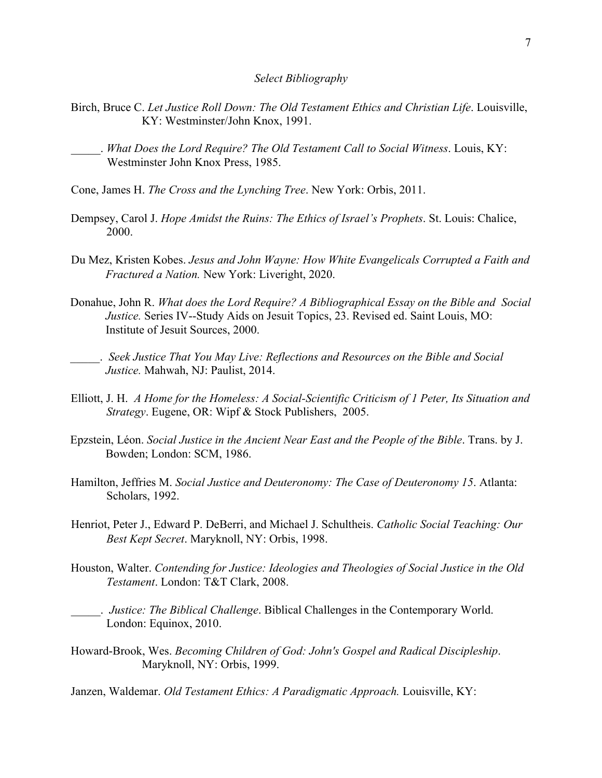#### *Select Bibliography*

- Birch, Bruce C. *Let Justice Roll Down: The Old Testament Ethics and Christian Life*. Louisville, KY: Westminster/John Knox, 1991.
	- \_\_\_\_\_. *What Does the Lord Require? The Old Testament Call to Social Witness*. Louis, KY: Westminster John Knox Press, 1985.
- Cone, James H. *The Cross and the Lynching Tree*. New York: Orbis, 2011.
- Dempsey, Carol J. *Hope Amidst the Ruins: The Ethics of Israel's Prophets*. St. Louis: Chalice, 2000.
- Du Mez, Kristen Kobes. *Jesus and John Wayne: How White Evangelicals Corrupted a Faith and Fractured a Nation.* New York: Liveright, 2020.
- Donahue, John R. *What does the Lord Require? A Bibliographical Essay on the Bible and Social Justice.* Series IV--Study Aids on Jesuit Topics, 23. Revised ed. Saint Louis, MO: Institute of Jesuit Sources, 2000.
- \_\_\_\_\_. *Seek Justice That You May Live: Reflections and Resources on the Bible and Social Justice.* Mahwah, NJ: Paulist, 2014.
- Elliott, J. H. *A Home for the Homeless: A Social-Scientific Criticism of 1 Peter, Its Situation and Strategy*. Eugene, OR: Wipf & Stock Publishers, 2005.
- Epzstein, Léon. *Social Justice in the Ancient Near East and the People of the Bible*. Trans. by J. Bowden; London: SCM, 1986.
- Hamilton, Jeffries M. *Social Justice and Deuteronomy: The Case of Deuteronomy 15*. Atlanta: Scholars, 1992.
- Henriot, Peter J., Edward P. DeBerri, and Michael J. Schultheis. *Catholic Social Teaching: Our Best Kept Secret*. Maryknoll, NY: Orbis, 1998.
- Houston, Walter. *Contending for Justice: Ideologies and Theologies of Social Justice in the Old Testament*. London: T&T Clark, 2008.
- \_\_\_\_\_. *Justice: The Biblical Challenge*. Biblical Challenges in the Contemporary World. London: Equinox, 2010.
- Howard-Brook, Wes. *Becoming Children of God: John's Gospel and Radical Discipleship*. Maryknoll, NY: Orbis, 1999.

Janzen, Waldemar. *Old Testament Ethics: A Paradigmatic Approach.* Louisville, KY: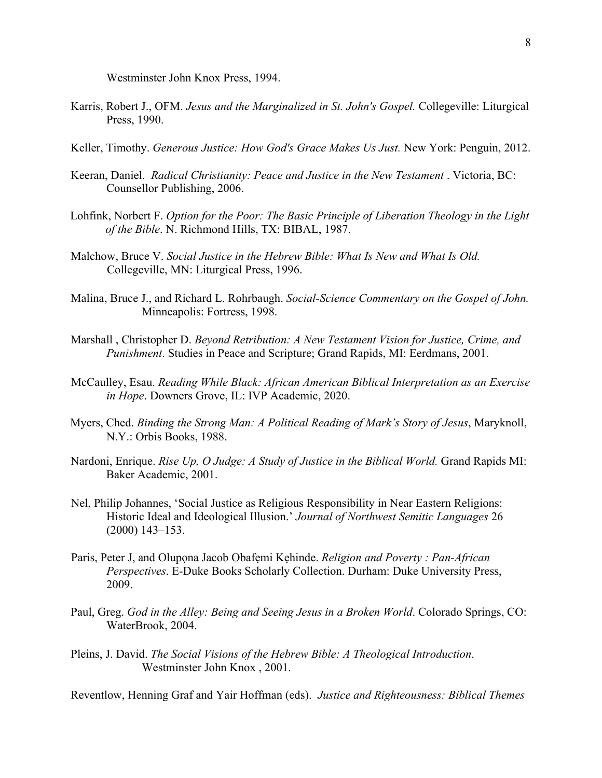Westminster John Knox Press, 1994.

- Karris, Robert J., OFM. *Jesus and the Marginalized in St. John's Gospel.* Collegeville: Liturgical Press, 1990.
- Keller, Timothy. *Generous Justice: How God's Grace Makes Us Just.* New York: Penguin, 2012.
- Keeran, Daniel. *Radical Christianity: Peace and Justice in the New Testament* . Victoria, BC: Counsellor Publishing, 2006.
- Lohfink, Norbert F. *Option for the Poor: The Basic Principle of Liberation Theology in the Light of the Bible*. N. Richmond Hills, TX: BIBAL, 1987.
- Malchow, Bruce V. *Social Justice in the Hebrew Bible: What Is New and What Is Old.* Collegeville, MN: Liturgical Press, 1996.
- Malina, Bruce J., and Richard L. Rohrbaugh. *Social-Science Commentary on the Gospel of John.* Minneapolis: Fortress, 1998.
- Marshall , Christopher D. *Beyond Retribution: A New Testament Vision for Justice, Crime, and Punishment*. Studies in Peace and Scripture; Grand Rapids, MI: Eerdmans, 2001.
- McCaulley, Esau. *Reading While Black: African American Biblical Interpretation as an Exercise in Hope*. Downers Grove, IL: IVP Academic, 2020.
- Myers, Ched. *Binding the Strong Man: A Political Reading of Mark's Story of Jesus*, Maryknoll, N.Y.: Orbis Books, 1988.
- Nardoni, Enrique. *Rise Up, O Judge: A Study of Justice in the Biblical World.* Grand Rapids MI: Baker Academic, 2001.
- Nel, Philip Johannes, 'Social Justice as Religious Responsibility in Near Eastern Religions: Historic Ideal and Ideological Illusion.' *Journal of Northwest Semitic Languages* 26 (2000) 143–153.
- Paris, Peter J, and Olupona Jacob Obafemi Kehinde. *Religion and Poverty : Pan-African Perspectives*. E-Duke Books Scholarly Collection. Durham: Duke University Press, 2009.
- Paul, Greg. *God in the Alley: Being and Seeing Jesus in a Broken World*. Colorado Springs, CO: WaterBrook, 2004.
- Pleins, J. David. *The Social Visions of the Hebrew Bible: A Theological Introduction*. Westminster John Knox , 2001.

Reventlow, Henning Graf and Yair Hoffman (eds). *Justice and Righteousness: Biblical Themes*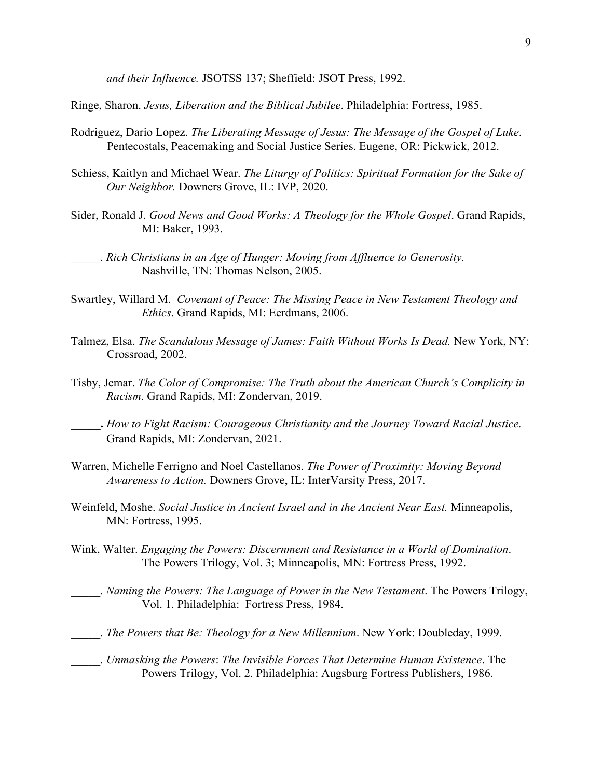*and their Influence.* JSOTSS 137; Sheffield: JSOT Press, 1992.

Ringe, Sharon. *Jesus, Liberation and the Biblical Jubilee*. Philadelphia: Fortress, 1985.

- Rodriguez, Dario Lopez. *The Liberating Message of Jesus: The Message of the Gospel of Luke*. Pentecostals, Peacemaking and Social Justice Series. Eugene, OR: Pickwick, 2012.
- Schiess, Kaitlyn and Michael Wear. *The Liturgy of Politics: Spiritual Formation for the Sake of Our Neighbor.* Downers Grove, IL: IVP, 2020.
- Sider, Ronald J. *Good News and Good Works: A Theology for the Whole Gospel*. Grand Rapids, MI: Baker, 1993.

- Swartley, Willard M. *Covenant of Peace: The Missing Peace in New Testament Theology and Ethics*. Grand Rapids, MI: Eerdmans, 2006.
- Talmez, Elsa. *The Scandalous Message of James: Faith Without Works Is Dead.* New York, NY: Crossroad, 2002.
- Tisby, Jemar. *The Color of Compromise: The Truth about the American Church's Complicity in Racism*. Grand Rapids, MI: Zondervan, 2019.
- **\_\_\_\_\_.** *How to Fight Racism: Courageous Christianity and the Journey Toward Racial Justice.*  Grand Rapids, MI: Zondervan, 2021.
- Warren, Michelle Ferrigno and Noel Castellanos. *The Power of Proximity: Moving Beyond Awareness to Action.* Downers Grove, IL: InterVarsity Press, 2017.
- Weinfeld, Moshe. *Social Justice in Ancient Israel and in the Ancient Near East.* Minneapolis, MN: Fortress, 1995.
- Wink, Walter. *Engaging the Powers: Discernment and Resistance in a World of Domination*. The Powers Trilogy, Vol. 3; Minneapolis, MN: Fortress Press, 1992.
	- \_\_\_\_\_. *Naming the Powers: The Language of Power in the New Testament*. The Powers Trilogy, Vol. 1. Philadelphia: Fortress Press, 1984.
- \_\_\_\_\_. *The Powers that Be: Theology for a New Millennium*. New York: Doubleday, 1999.
- \_\_\_\_\_. *Unmasking the Powers*: *The Invisible Forces That Determine Human Existence*. The Powers Trilogy, Vol. 2. Philadelphia: Augsburg Fortress Publishers, 1986.

\_\_\_\_\_. *Rich Christians in an Age of Hunger: Moving from Affluence to Generosity.* Nashville, TN: Thomas Nelson, 2005.